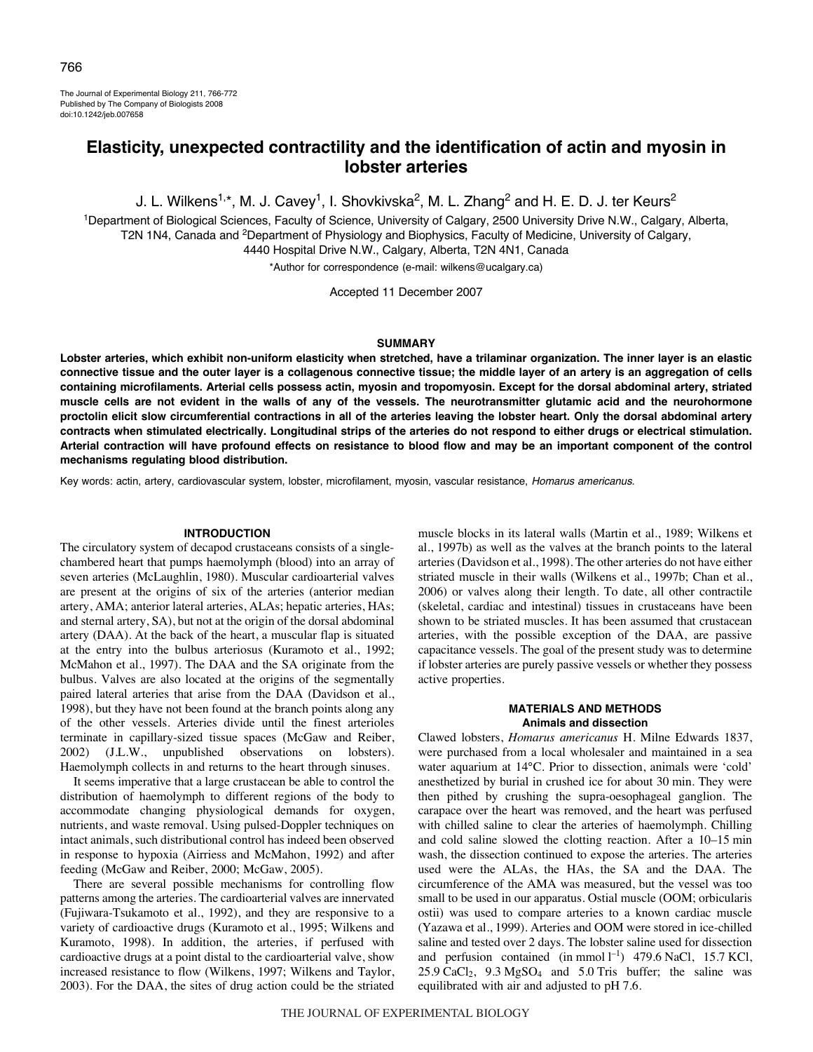The Journal of Experimental Biology 211, 766-772 Published by The Company of Biologists 2008 doi:10.1242/jeb.007658

# **Elasticity, unexpected contractility and the identification of actin and myosin in lobster arteries**

J. L. Wilkens<sup>1,\*</sup>, M. J. Cavey<sup>1</sup>, I. Shovkivska<sup>2</sup>, M. L. Zhang<sup>2</sup> and H. E. D. J. ter Keurs<sup>2</sup>

1Department of Biological Sciences, Faculty of Science, University of Calgary, 2500 University Drive N.W., Calgary, Alberta, T2N 1N4, Canada and <sup>2</sup>Department of Physiology and Biophysics, Faculty of Medicine, University of Calgary, 4440 Hospital Drive N.W., Calgary, Alberta, T2N 4N1, Canada

\*Author for correspondence (e-mail: wilkens@ucalgary.ca)

Accepted 11 December 2007

### **SUMMARY**

**Lobster arteries, which exhibit non-uniform elasticity when stretched, have a trilaminar organization. The inner layer is an elastic connective tissue and the outer layer is a collagenous connective tissue; the middle layer of an artery is an aggregation of cells containing microfilaments. Arterial cells possess actin, myosin and tropomyosin. Except for the dorsal abdominal artery, striated muscle cells are not evident in the walls of any of the vessels. The neurotransmitter glutamic acid and the neurohormone proctolin elicit slow circumferential contractions in all of the arteries leaving the lobster heart. Only the dorsal abdominal artery contracts when stimulated electrically. Longitudinal strips of the arteries do not respond to either drugs or electrical stimulation. Arterial contraction will have profound effects on resistance to blood flow and may be an important component of the control mechanisms regulating blood distribution.**

Key words: actin, artery, cardiovascular system, lobster, microfilament, myosin, vascular resistance, Homarus americanus.

### **INTRODUCTION**

The circulatory system of decapod crustaceans consists of a singlechambered heart that pumps haemolymph (blood) into an array of seven arteries (McLaughlin, 1980). Muscular cardioarterial valves are present at the origins of six of the arteries (anterior median artery, AMA; anterior lateral arteries, ALAs; hepatic arteries, HAs; and sternal artery, SA), but not at the origin of the dorsal abdominal artery (DAA). At the back of the heart, a muscular flap is situated at the entry into the bulbus arteriosus (Kuramoto et al., 1992; McMahon et al., 1997). The DAA and the SA originate from the bulbus. Valves are also located at the origins of the segmentally paired lateral arteries that arise from the DAA (Davidson et al., 1998), but they have not been found at the branch points along any of the other vessels. Arteries divide until the finest arterioles terminate in capillary-sized tissue spaces (McGaw and Reiber, 2002) (J.L.W., unpublished observations on lobsters). Haemolymph collects in and returns to the heart through sinuses.

It seems imperative that a large crustacean be able to control the distribution of haemolymph to different regions of the body to accommodate changing physiological demands for oxygen, nutrients, and waste removal. Using pulsed-Doppler techniques on intact animals, such distributional control has indeed been observed in response to hypoxia (Airriess and McMahon, 1992) and after feeding (McGaw and Reiber, 2000; McGaw, 2005).

There are several possible mechanisms for controlling flow patterns among the arteries. The cardioarterial valves are innervated (Fujiwara-Tsukamoto et al., 1992), and they are responsive to a variety of cardioactive drugs (Kuramoto et al., 1995; Wilkens and Kuramoto, 1998). In addition, the arteries, if perfused with cardioactive drugs at a point distal to the cardioarterial valve, show increased resistance to flow (Wilkens, 1997; Wilkens and Taylor, 2003). For the DAA, the sites of drug action could be the striated

muscle blocks in its lateral walls (Martin et al., 1989; Wilkens et al., 1997b) as well as the valves at the branch points to the lateral arteries (Davidson et al., 1998). The other arteries do not have either striated muscle in their walls (Wilkens et al., 1997b; Chan et al., 2006) or valves along their length. To date, all other contractile (skeletal, cardiac and intestinal) tissues in crustaceans have been shown to be striated muscles. It has been assumed that crustacean arteries, with the possible exception of the DAA, are passive capacitance vessels. The goal of the present study was to determine if lobster arteries are purely passive vessels or whether they possess active properties.

## **MATERIALS AND METHODS Animals and dissection**

Clawed lobsters, *Homarus americanus* H. Milne Edwards 1837, were purchased from a local wholesaler and maintained in a sea water aquarium at 14°C. Prior to dissection, animals were 'cold' anesthetized by burial in crushed ice for about 30 min. They were then pithed by crushing the supra-oesophageal ganglion. The carapace over the heart was removed, and the heart was perfused with chilled saline to clear the arteries of haemolymph. Chilling and cold saline slowed the clotting reaction. After a 10–15 min wash, the dissection continued to expose the arteries. The arteries used were the ALAs, the HAs, the SA and the DAA. The circumference of the AMA was measured, but the vessel was too small to be used in our apparatus. Ostial muscle (OOM; orbicularis ostii) was used to compare arteries to a known cardiac muscle (Yazawa et al., 1999). Arteries and OOM were stored in ice-chilled saline and tested over 2 days. The lobster saline used for dissection and perfusion contained (in mmol  $l^{-1}$ ) 479.6 NaCl, 15.7 KCl,  $25.9 \text{ CaCl}_2$ ,  $9.3 \text{ MgSO}_4$  and  $5.0 \text{ Tris}$  buffer; the saline was equilibrated with air and adjusted to pH 7.6.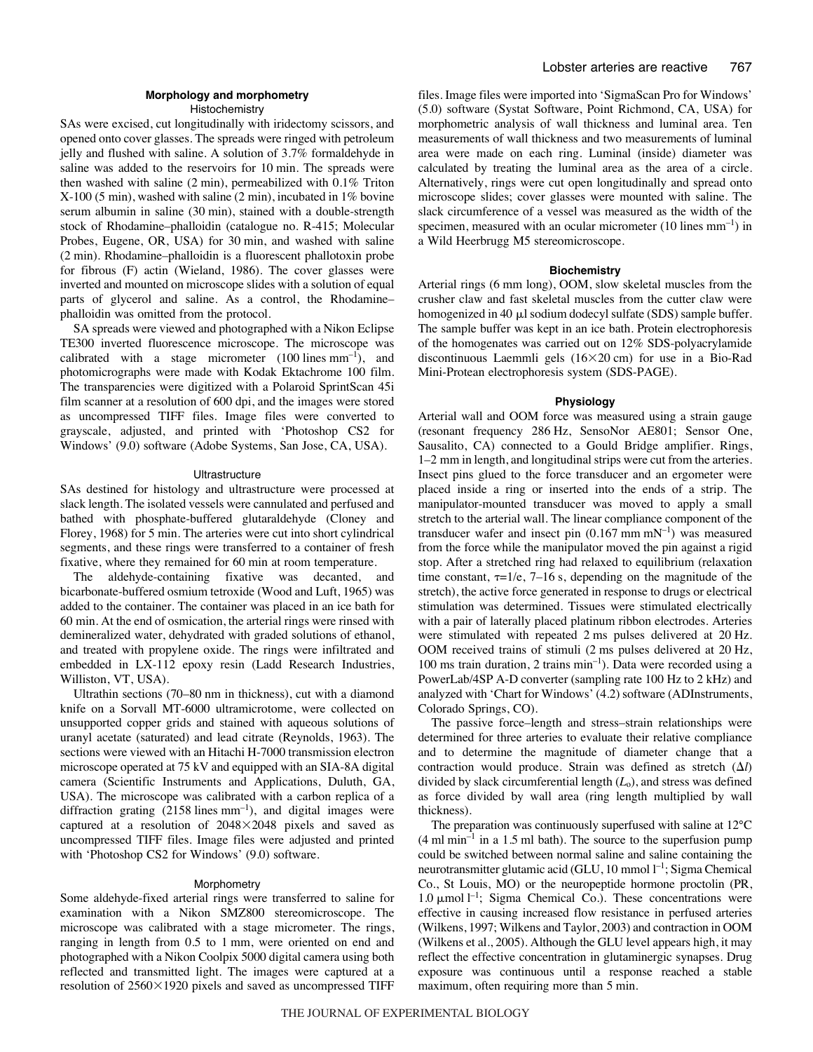# **Morphology and morphometry**

**Histochemistry** 

SAs were excised, cut longitudinally with iridectomy scissors, and opened onto cover glasses. The spreads were ringed with petroleum jelly and flushed with saline. A solution of 3.7% formaldehyde in saline was added to the reservoirs for 10 min. The spreads were then washed with saline  $(2 \text{ min})$ , permeabilized with  $0.1\%$  Triton  $X-100$  (5 min), washed with saline (2 min), incubated in 1% bovine serum albumin in saline (30 min), stained with a double-strength stock of Rhodamine–phalloidin (catalogue no. R-415; Molecular Probes, Eugene, OR, USA) for 30 min, and washed with saline  $(2 \text{ min})$ . Rhodamine–phalloidin is a fluorescent phallotoxin probe for fibrous (F) actin (Wieland, 1986). The cover glasses were inverted and mounted on microscope slides with a solution of equal parts of glycerol and saline. As a control, the Rhodamine– phalloidin was omitted from the protocol.

SA spreads were viewed and photographed with a Nikon Eclipse TE300 inverted fluorescence microscope. The microscope was calibrated with a stage micrometer  $(100 \text{ lines mm}^{-1})$ , and photomicrographs were made with Kodak Ektachrome 100 film. The transparencies were digitized with a Polaroid SprintScan 45i film scanner at a resolution of 600 dpi, and the images were stored as uncompressed TIFF files. Image files were converted to grayscale, adjusted, and printed with 'Photoshop CS2 for Windows' (9.0) software (Adobe Systems, San Jose, CA, USA).

### Ultrastructure

SAs destined for histology and ultrastructure were processed at slack length. The isolated vessels were cannulated and perfused and bathed with phosphate-buffered glutaraldehyde (Cloney and Florey, 1968) for 5 min. The arteries were cut into short cylindrical segments, and these rings were transferred to a container of fresh fixative, where they remained for 60 min at room temperature.

The aldehyde-containing fixative was decanted, and bicarbonate-buffered osmium tetroxide (Wood and Luft, 1965) was added to the container. The container was placed in an ice bath for 60 min. At the end of osmication, the arterial rings were rinsed with demineralized water, dehydrated with graded solutions of ethanol, and treated with propylene oxide. The rings were infiltrated and embedded in LX-112 epoxy resin (Ladd Research Industries, Williston, VT, USA).

Ultrathin sections (70–80 nm in thickness), cut with a diamond knife on a Sorvall MT-6000 ultramicrotome, were collected on unsupported copper grids and stained with aqueous solutions of uranyl acetate (saturated) and lead citrate (Reynolds, 1963). The sections were viewed with an Hitachi H-7000 transmission electron microscope operated at 75 kV and equipped with an SIA-8A digital camera (Scientific Instruments and Applications, Duluth, GA, USA). The microscope was calibrated with a carbon replica of a diffraction grating  $(2158$  lines  $mm^{-1}$ ), and digital images were captured at a resolution of 2048-2048 pixels and saved as uncompressed TIFF files. Image files were adjusted and printed with 'Photoshop CS2 for Windows' (9.0) software.

## Morphometry

Some aldehyde-fixed arterial rings were transferred to saline for examination with a Nikon SMZ800 stereomicroscope. The microscope was calibrated with a stage micrometer. The rings, ranging in length from 0.5 to 1 mm, were oriented on end and photographed with a Nikon Coolpix 5000 digital camera using both reflected and transmitted light. The images were captured at a resolution of 2560×1920 pixels and saved as uncompressed TIFF

files. Image files were imported into 'SigmaScan Pro for Windows' (5.0) software (Systat Software, Point Richmond, CA, USA) for morphometric analysis of wall thickness and luminal area. Ten measurements of wall thickness and two measurements of luminal area were made on each ring. Luminal (inside) diameter was calculated by treating the luminal area as the area of a circle. Alternatively, rings were cut open longitudinally and spread onto microscope slides; cover glasses were mounted with saline. The slack circumference of a vessel was measured as the width of the specimen, measured with an ocular micrometer  $(10 \text{ lines mm}^{-1})$  in a Wild Heerbrugg M5 stereomicroscope.

### **Biochemistry**

Arterial rings (6 mm long), OOM, slow skeletal muscles from the crusher claw and fast skeletal muscles from the cutter claw were homogenized in 40 µl sodium dodecyl sulfate (SDS) sample buffer. The sample buffer was kept in an ice bath. Protein electrophoresis of the homogenates was carried out on 12% SDS-polyacrylamide discontinuous Laemmli gels (16×20 cm) for use in a Bio-Rad Mini-Protean electrophoresis system (SDS-PAGE).

### **Physiology**

Arterial wall and OOM force was measured using a strain gauge (resonant frequency 286 Hz, SensoNor AE801; Sensor One, Sausalito, CA) connected to a Gould Bridge amplifier. Rings, 1–2 mm in length, and longitudinal strips were cut from the arteries. Insect pins glued to the force transducer and an ergometer were placed inside a ring or inserted into the ends of a strip. The manipulator-mounted transducer was moved to apply a small stretch to the arterial wall. The linear compliance component of the transducer wafer and insect pin  $(0.167 \text{ mm mN}^{-1})$  was measured from the force while the manipulator moved the pin against a rigid stop. After a stretched ring had relaxed to equilibrium (relaxation time constant,  $\tau=1/e$ , 7–16 s, depending on the magnitude of the stretch), the active force generated in response to drugs or electrical stimulation was determined. Tissues were stimulated electrically with a pair of laterally placed platinum ribbon electrodes. Arteries were stimulated with repeated 2 ms pulses delivered at 20 Hz. OOM received trains of stimuli (2 ms pulses delivered at 20 Hz, 100 ms train duration, 2 trains  $min^{-1}$ ). Data were recorded using a PowerLab/4SP A-D converter (sampling rate 100 Hz to 2 kHz) and analyzed with 'Chart for Windows' (4.2) software (ADInstruments, Colorado Springs, CO).

The passive force–length and stress–strain relationships were determined for three arteries to evaluate their relative compliance and to determine the magnitude of diameter change that a contraction would produce. Strain was defined as stretch  $(\Delta l)$ divided by slack circumferential length  $(L_0)$ , and stress was defined as force divided by wall area (ring length multiplied by wall thickness).

The preparation was continuously superfused with saline at 12°C  $(4 \text{ ml min}^{-1}$  in a 1.5 ml bath). The source to the superfusion pump could be switched between normal saline and saline containing the neurotransmitter glutamic acid (GLU, 10 mmol l<sup>-1</sup>; Sigma Chemical Co., St Louis, MO) or the neuropeptide hormone proctolin (PR, 1.0  $\mu$ mol<sup>1-1</sup>; Sigma Chemical Co.). These concentrations were effective in causing increased flow resistance in perfused arteries (Wilkens, 1997; Wilkens and Taylor, 2003) and contraction in OOM (Wilkens et al., 2005). Although the GLU level appears high, it may reflect the effective concentration in glutaminergic synapses. Drug exposure was continuous until a response reached a stable maximum, often requiring more than 5 min.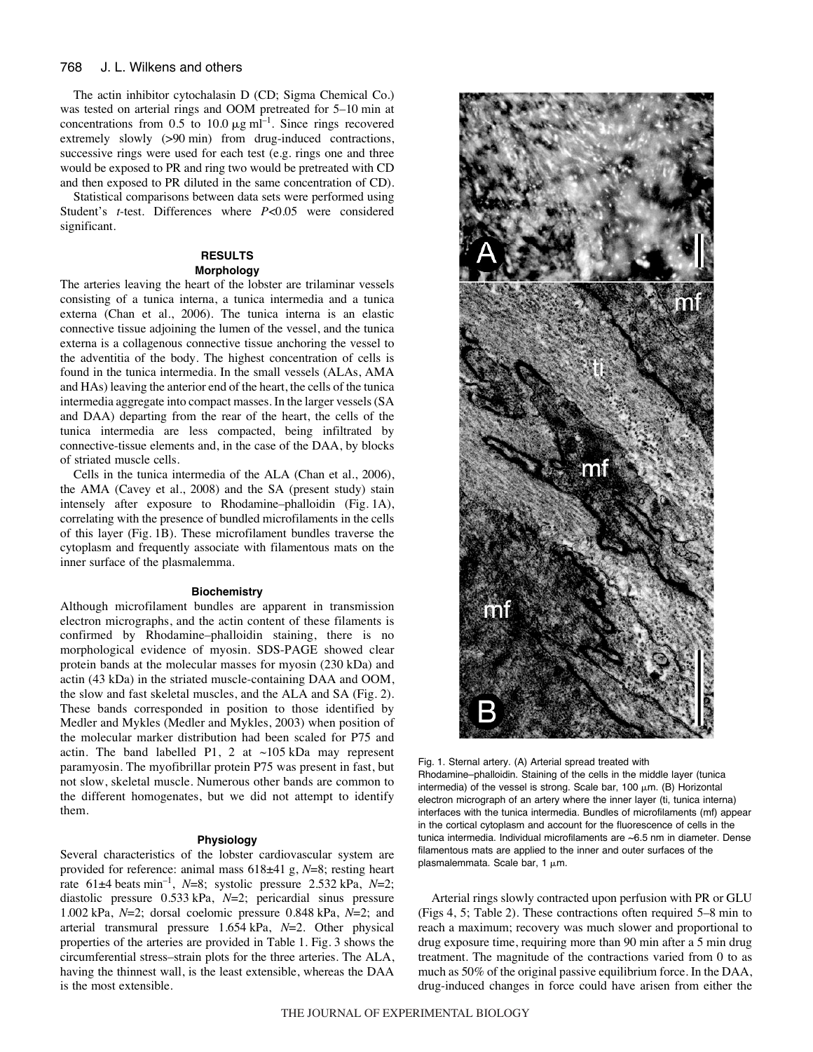The actin inhibitor cytochalasin D (CD; Sigma Chemical Co.) was tested on arterial rings and OOM pretreated for 5–10 min at concentrations from  $0.5$  to  $10.0 \mu g$  ml<sup>-1</sup>. Since rings recovered extremely slowly  $(>90 \text{ min})$  from drug-induced contractions, successive rings were used for each test (e.g. rings one and three would be exposed to PR and ring two would be pretreated with CD and then exposed to PR diluted in the same concentration of CD).

Statistical comparisons between data sets were performed using Student's *t*-test. Differences where *P*<0.05 were considered significant.

# **RESULTS**

# **Morphology**

The arteries leaving the heart of the lobster are trilaminar vessels consisting of a tunica interna, a tunica intermedia and a tunica externa (Chan et al., 2006). The tunica interna is an elastic connective tissue adjoining the lumen of the vessel, and the tunica externa is a collagenous connective tissue anchoring the vessel to the adventitia of the body. The highest concentration of cells is found in the tunica intermedia. In the small vessels (ALAs, AMA and HAs) leaving the anterior end of the heart, the cells of the tunica intermedia aggregate into compact masses. In the larger vessels (SA and DAA) departing from the rear of the heart, the cells of the tunica intermedia are less compacted, being infiltrated by connective-tissue elements and, in the case of the DAA, by blocks of striated muscle cells.

Cells in the tunica intermedia of the ALA (Chan et al., 2006), the AMA (Cavey et al., 2008) and the SA (present study) stain intensely after exposure to Rhodamine–phalloidin (Fig. 1A), correlating with the presence of bundled microfilaments in the cells of this layer (Fig. 1B). These microfilament bundles traverse the cytoplasm and frequently associate with filamentous mats on the inner surface of the plasmalemma.

#### **Biochemistry**

Although microfilament bundles are apparent in transmission electron micrographs, and the actin content of these filaments is confirmed by Rhodamine–phalloidin staining, there is no morphological evidence of myosin. SDS-PAGE showed clear protein bands at the molecular masses for myosin (230 kDa) and actin (43·kDa) in the striated muscle-containing DAA and OOM, the slow and fast skeletal muscles, and the ALA and SA (Fig. 2). These bands corresponded in position to those identified by Medler and Mykles (Medler and Mykles, 2003) when position of the molecular marker distribution had been scaled for P75 and actin. The band labelled P1, 2 at  $\sim$ 105 kDa may represent paramyosin. The myofibrillar protein P75 was present in fast, but not slow, skeletal muscle. Numerous other bands are common to the different homogenates, but we did not attempt to identify them.

### **Physiology**

Several characteristics of the lobster cardiovascular system are provided for reference: animal mass  $618±41$  g,  $N=8$ ; resting heart rate  $61\pm4$  beats min<sup>-1</sup>, *N*=8; systolic pressure 2.532 kPa, *N*=2; diastolic pressure 0.533·kPa, *N*=2; pericardial sinus pressure 1.002·kPa, *N*=2; dorsal coelomic pressure 0.848·kPa, *N*=2; and arterial transmural pressure 1.654·kPa, *N*=2. Other physical properties of the arteries are provided in Table 1. Fig. 3 shows the circumferential stress–strain plots for the three arteries. The ALA, having the thinnest wall, is the least extensible, whereas the DAA is the most extensible.



Fig. 1. Sternal artery. (A) Arterial spread treated with Rhodamine–phalloidin. Staining of the cells in the middle layer (tunica intermedia) of the vessel is strong. Scale bar, 100  $\mu$ m. (B) Horizontal electron micrograph of an artery where the inner layer (ti, tunica interna) interfaces with the tunica intermedia. Bundles of microfilaments (mf) appear in the cortical cytoplasm and account for the fluorescence of cells in the tunica intermedia. Individual microfilaments are ~6.5 nm in diameter. Dense filamentous mats are applied to the inner and outer surfaces of the plasmalemmata. Scale bar, 1  $\mu$ m.

Arterial rings slowly contracted upon perfusion with PR or GLU (Figs 4, 5; Table 2). These contractions often required 5–8 min to reach a maximum; recovery was much slower and proportional to drug exposure time, requiring more than 90 min after a 5 min drug treatment. The magnitude of the contractions varied from 0 to as much as 50% of the original passive equilibrium force. In the DAA, drug-induced changes in force could have arisen from either the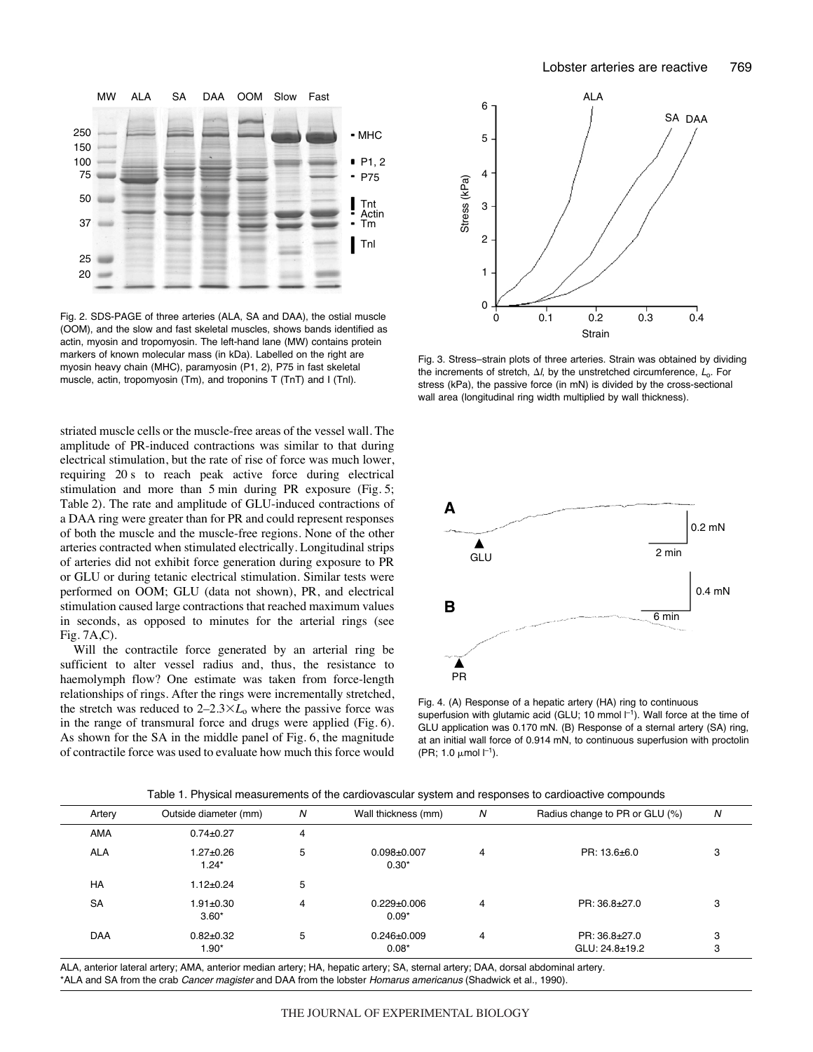

Fig. 2. SDS-PAGE of three arteries (ALA, SA and DAA), the ostial muscle (OOM), and the slow and fast skeletal muscles, shows bands identified as actin, myosin and tropomyosin. The left-hand lane (MW) contains protein markers of known molecular mass (in kDa). Labelled on the right are myosin heavy chain (MHC), paramyosin (P1, 2), P75 in fast skeletal muscle, actin, tropomyosin (Tm), and troponins T (TnT) and I (Tnl).

striated muscle cells or the muscle-free areas of the vessel wall. The amplitude of PR-induced contractions was similar to that during electrical stimulation, but the rate of rise of force was much lower, requiring 20 s to reach peak active force during electrical stimulation and more than  $5 \text{ min}$  during PR exposure (Fig.  $5$ ; Table 2). The rate and amplitude of GLU-induced contractions of a DAA ring were greater than for PR and could represent responses of both the muscle and the muscle-free regions. None of the other arteries contracted when stimulated electrically. Longitudinal strips of arteries did not exhibit force generation during exposure to PR or GLU or during tetanic electrical stimulation. Similar tests were performed on OOM; GLU (data not shown), PR, and electrical stimulation caused large contractions that reached maximum values in seconds, as opposed to minutes for the arterial rings (see  $Fig. 7A, C$ ).

Will the contractile force generated by an arterial ring be sufficient to alter vessel radius and, thus, the resistance to haemolymph flow? One estimate was taken from force-length relationships of rings. After the rings were incrementally stretched, the stretch was reduced to  $2-2.3 \times L_0$  where the passive force was in the range of transmural force and drugs were applied (Fig. 6). As shown for the SA in the middle panel of Fig. 6, the magnitude of contractile force was used to evaluate how much this force would



Fig. 3. Stress–strain plots of three arteries. Strain was obtained by dividing the increments of stretch,  $\Delta l$ , by the unstretched circumference,  $L_0$ . For stress (kPa), the passive force (in mN) is divided by the cross-sectional wall area (longitudinal ring width multiplied by wall thickness).



Fig. 4. (A) Response of a hepatic artery (HA) ring to continuous superfusion with glutamic acid (GLU; 10 mmol  $I^{-1}$ ). Wall force at the time of GLU application was 0.170 mN. (B) Response of a sternal artery (SA) ring, at an initial wall force of 0.914 mN, to continuous superfusion with proctolin  $(PR; 1.0 \mu mol l^{-1}).$ 

|  |  | Table 1. Physical measurements of the cardiovascular system and responses to cardioactive compounds |  |
|--|--|-----------------------------------------------------------------------------------------------------|--|
|  |  |                                                                                                     |  |

| Artery     | Outside diameter (mm)      | N              | Wall thickness (mm)          | N | Radius change to PR or GLU (%) | N |
|------------|----------------------------|----------------|------------------------------|---|--------------------------------|---|
| AMA        | $0.74 \pm 0.27$            | $\overline{4}$ |                              |   |                                |   |
| <b>ALA</b> | $1.27 + 0.26$<br>$1.24*$   | 5              | $0.098 + 0.007$<br>$0.30*$   | 4 | PR: 13.6±6.0                   | 3 |
| <b>HA</b>  | $1.12 \pm 0.24$            | 5              |                              |   |                                |   |
| <b>SA</b>  | $1.91 \pm 0.30$<br>$3.60*$ | 4              | $0.229 \pm 0.006$<br>$0.09*$ | 4 | PR: 36.8±27.0                  | 3 |
| <b>DAA</b> | $0.82 + 0.32$              | 5              | $0.246 \pm 0.009$            | 4 | PR: 36.8±27.0                  | 3 |
|            | $1.90*$                    |                | $0.08*$                      |   | $GLU: 24.8 + 19.2$             | 3 |

ALA, anterior lateral artery; AMA, anterior median artery; HA, hepatic artery; SA, sternal artery; DAA, dorsal abdominal artery. \*ALA and SA from the crab Cancer magister and DAA from the lobster Homarus americanus (Shadwick et al., 1990).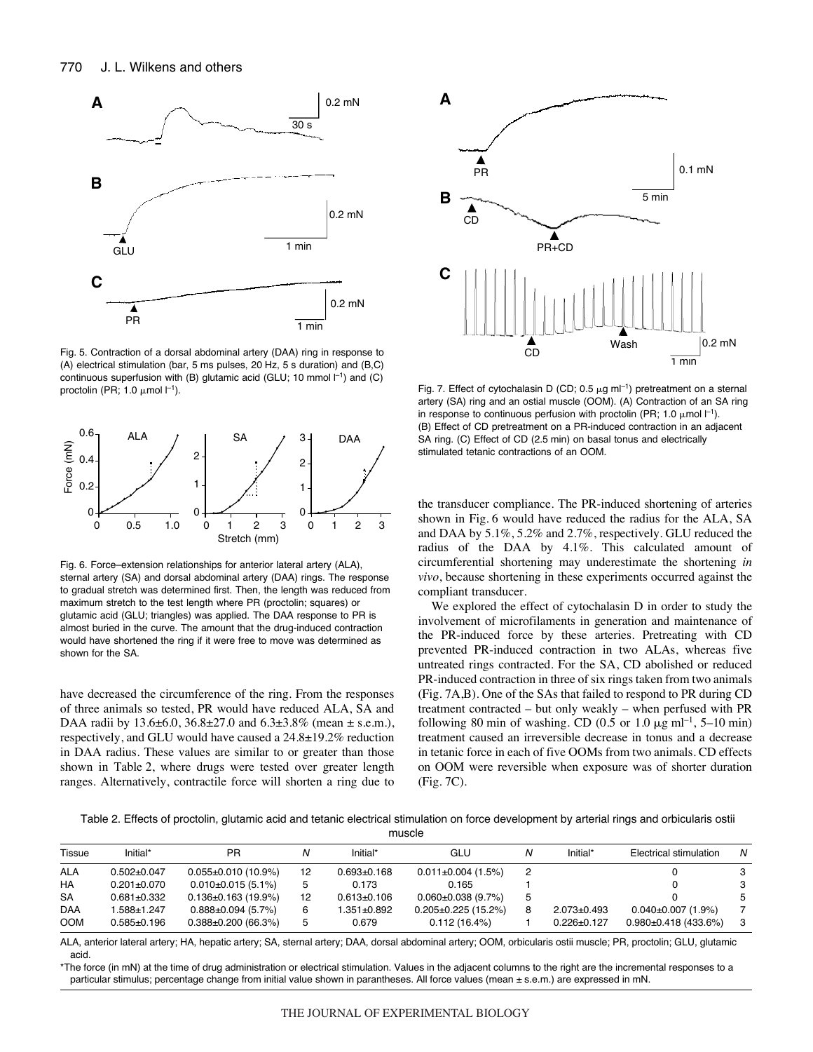

Fig. 5. Contraction of a dorsal abdominal artery (DAA) ring in response to (A) electrical stimulation (bar, 5 ms pulses, 20 Hz, 5  $s$  duration) and (B,C) continuous superfusion with (B) glutamic acid (GLU; 10 mmol  $I^{-1}$ ) and (C) proctolin (PR; 1.0  $\mu$ mol  $l^{-1}$ ).



Fig. 6. Force–extension relationships for anterior lateral artery (ALA), sternal artery (SA) and dorsal abdominal artery (DAA) rings. The response to gradual stretch was determined first. Then, the length was reduced from maximum stretch to the test length where PR (proctolin; squares) or glutamic acid (GLU; triangles) was applied. The DAA response to PR is almost buried in the curve. The amount that the drug-induced contraction would have shortened the ring if it were free to move was determined as shown for the SA.

have decreased the circumference of the ring. From the responses of three animals so tested, PR would have reduced ALA, SA and DAA radii by 13.6±6.0, 36.8±27.0 and 6.3±3.8% (mean ± s.e.m.), respectively, and GLU would have caused a 24.8±19.2% reduction in DAA radius. These values are similar to or greater than those shown in Table 2, where drugs were tested over greater length ranges. Alternatively, contractile force will shorten a ring due to



Fig. 7. Effect of cytochalasin D (CD; 0.5  $\mu$ g ml<sup>-1</sup>) pretreatment on a sternal artery (SA) ring and an ostial muscle (OOM). (A) Contraction of an SA ring in response to continuous perfusion with proctolin (PR; 1.0  $\mu$ mol  $I^{-1}$ ). (B) Effect of CD pretreatment on a PR-induced contraction in an adjacent SA ring. (C) Effect of CD (2.5 min) on basal tonus and electrically stimulated tetanic contractions of an OOM.

the transducer compliance. The PR-induced shortening of arteries shown in Fig. 6 would have reduced the radius for the ALA, SA and DAA by 5.1%, 5.2% and 2.7%, respectively. GLU reduced the radius of the DAA by 4.1%. This calculated amount of circumferential shortening may underestimate the shortening *in vivo*, because shortening in these experiments occurred against the compliant transducer.

We explored the effect of cytochalasin D in order to study the involvement of microfilaments in generation and maintenance of the PR-induced force by these arteries. Pretreating with CD prevented PR-induced contraction in two ALAs, whereas five untreated rings contracted. For the SA, CD abolished or reduced PR-induced contraction in three of six rings taken from two animals  $(Fig. 7A,B)$ . One of the SAs that failed to respond to PR during CD treatment contracted – but only weakly – when perfused with PR following 80 min of washing. CD (0.5 or 1.0  $\mu$ g ml<sup>-1</sup>, 5–10 min) treatment caused an irreversible decrease in tonus and a decrease in tetanic force in each of five OOMs from two animals. CD effects on OOM were reversible when exposure was of shorter duration  $(Fig.7C)$ .

Table 2. Effects of proctolin, glutamic acid and tetanic electrical stimulation on force development by arterial rings and orbicularis ostii

muscle

| Tissue     | Initial*          | <b>PR</b>                 |    | Initial*          | GLU                       | Initial*          | Electrical stimulation     | N  |
|------------|-------------------|---------------------------|----|-------------------|---------------------------|-------------------|----------------------------|----|
| <b>ALA</b> | $0.502 \pm 0.047$ | $0.055 \pm 0.010$ (10.9%) | 12 | $0.693 \pm 0.168$ | $0.011 \pm 0.004$ (1.5%)  |                   |                            | 3  |
| HA         | $0.201 \pm 0.070$ | $0.010\pm0.015(5.1\%)$    |    | 0.173             | 0.165                     |                   |                            | 3  |
| <b>SA</b>  | $0.681 \pm 0.332$ | $0.136 \pm 0.163$ (19.9%) | 12 | $0.613 \pm 0.106$ | $0.060 \pm 0.038$ (9.7%)  |                   |                            | 5  |
| <b>DAA</b> | 588±1.247         | $0.888 \pm 0.094$ (5.7%)  | 6  | 1.351±0.892       | $0.205 \pm 0.225$ (15.2%) | $2.073 \pm 0.493$ | $0.040 \pm 0.007$ (1.9%)   |    |
| <b>OOM</b> | $0.585 \pm 0.196$ | $0.388 \pm 0.200$ (66.3%) |    | 0.679             | 0.112(16.4%)              | $0.226 \pm 0.127$ | $0.980 \pm 0.418$ (433.6%) | -3 |

ALA, anterior lateral artery; HA, hepatic artery; SA, sternal artery; DAA, dorsal abdominal artery; OOM, orbicularis ostii muscle; PR, proctolin; GLU, glutamic acid.

\*The force (in mN) at the time of drug administration or electrical stimulation. Values in the adjacent columns to the right are the incremental responses to a particular stimulus; percentage change from initial value shown in parantheses. All force values (mean ± s.e.m.) are expressed in mN.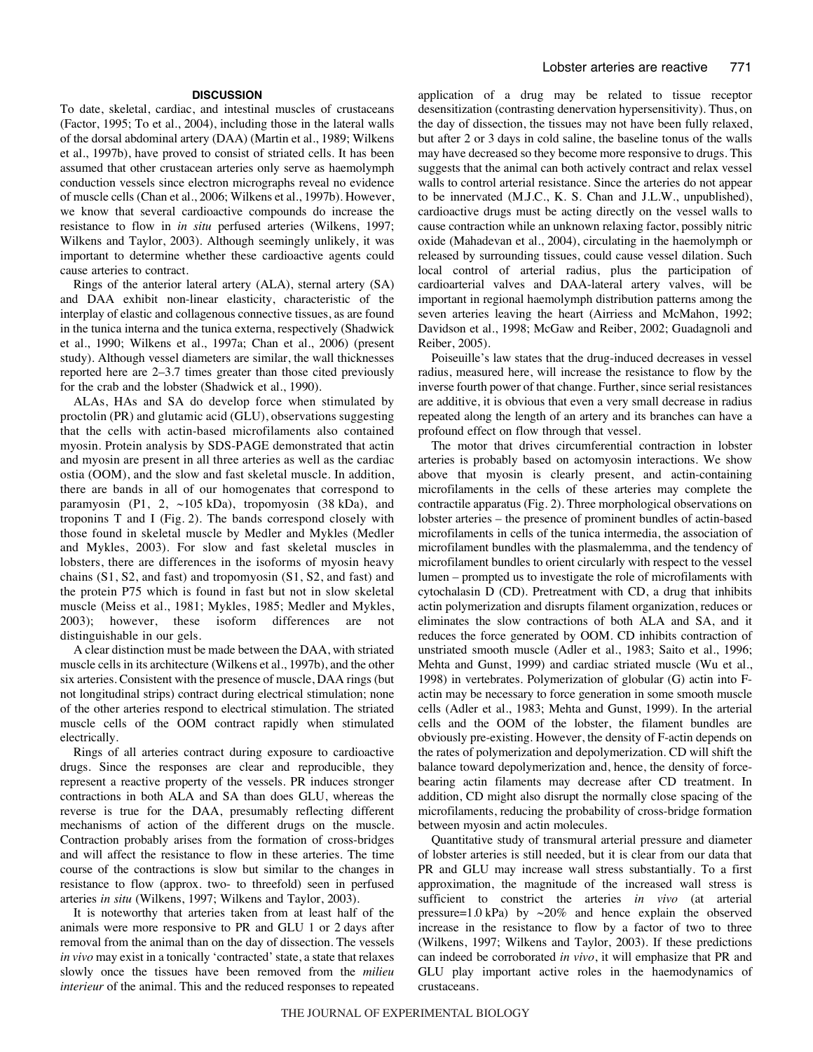### **DISCUSSION**

To date, skeletal, cardiac, and intestinal muscles of crustaceans (Factor, 1995; To et al., 2004), including those in the lateral walls of the dorsal abdominal artery (DAA) (Martin et al., 1989; Wilkens et al., 1997b), have proved to consist of striated cells. It has been assumed that other crustacean arteries only serve as haemolymph conduction vessels since electron micrographs reveal no evidence of muscle cells (Chan et al., 2006; Wilkens et al., 1997b). However, we know that several cardioactive compounds do increase the resistance to flow in *in situ* perfused arteries (Wilkens, 1997; Wilkens and Taylor, 2003). Although seemingly unlikely, it was important to determine whether these cardioactive agents could cause arteries to contract.

Rings of the anterior lateral artery (ALA), sternal artery (SA) and DAA exhibit non-linear elasticity, characteristic of the interplay of elastic and collagenous connective tissues, as are found in the tunica interna and the tunica externa, respectively (Shadwick et al., 1990; Wilkens et al., 1997a; Chan et al., 2006) (present study). Although vessel diameters are similar, the wall thicknesses reported here are 2–3.7 times greater than those cited previously for the crab and the lobster (Shadwick et al., 1990).

ALAs, HAs and SA do develop force when stimulated by proctolin (PR) and glutamic acid (GLU), observations suggesting that the cells with actin-based microfilaments also contained myosin. Protein analysis by SDS-PAGE demonstrated that actin and myosin are present in all three arteries as well as the cardiac ostia (OOM), and the slow and fast skeletal muscle. In addition, there are bands in all of our homogenates that correspond to paramyosin (P1, 2,  $\sim$ 105 kDa), tropomyosin (38 kDa), and troponins  $T$  and  $I$  (Fig. 2). The bands correspond closely with those found in skeletal muscle by Medler and Mykles (Medler and Mykles, 2003). For slow and fast skeletal muscles in lobsters, there are differences in the isoforms of myosin heavy chains (S1, S2, and fast) and tropomyosin (S1, S2, and fast) and the protein P75 which is found in fast but not in slow skeletal muscle (Meiss et al., 1981; Mykles, 1985; Medler and Mykles, 2003); however, these isoform differences are not distinguishable in our gels.

A clear distinction must be made between the DAA, with striated muscle cells in its architecture (Wilkens et al., 1997b), and the other six arteries. Consistent with the presence of muscle, DAA rings (but not longitudinal strips) contract during electrical stimulation; none of the other arteries respond to electrical stimulation. The striated muscle cells of the OOM contract rapidly when stimulated electrically.

Rings of all arteries contract during exposure to cardioactive drugs. Since the responses are clear and reproducible, they represent a reactive property of the vessels. PR induces stronger contractions in both ALA and SA than does GLU, whereas the reverse is true for the DAA, presumably reflecting different mechanisms of action of the different drugs on the muscle. Contraction probably arises from the formation of cross-bridges and will affect the resistance to flow in these arteries. The time course of the contractions is slow but similar to the changes in resistance to flow (approx. two- to threefold) seen in perfused arteries *in situ* (Wilkens, 1997; Wilkens and Taylor, 2003).

It is noteworthy that arteries taken from at least half of the animals were more responsive to PR and GLU 1 or 2 days after removal from the animal than on the day of dissection. The vessels *in vivo* may exist in a tonically 'contracted' state, a state that relaxes slowly once the tissues have been removed from the *milieu interieur* of the animal. This and the reduced responses to repeated application of a drug may be related to tissue receptor desensitization (contrasting denervation hypersensitivity). Thus, on the day of dissection, the tissues may not have been fully relaxed, but after 2 or 3 days in cold saline, the baseline tonus of the walls may have decreased so they become more responsive to drugs. This suggests that the animal can both actively contract and relax vessel walls to control arterial resistance. Since the arteries do not appear to be innervated (M.J.C., K. S. Chan and J.L.W., unpublished), cardioactive drugs must be acting directly on the vessel walls to cause contraction while an unknown relaxing factor, possibly nitric oxide (Mahadevan et al., 2004), circulating in the haemolymph or released by surrounding tissues, could cause vessel dilation. Such local control of arterial radius, plus the participation of cardioarterial valves and DAA-lateral artery valves, will be important in regional haemolymph distribution patterns among the seven arteries leaving the heart (Airriess and McMahon, 1992; Davidson et al., 1998; McGaw and Reiber, 2002; Guadagnoli and Reiber, 2005).

Poiseuille's law states that the drug-induced decreases in vessel radius, measured here, will increase the resistance to flow by the inverse fourth power of that change. Further, since serial resistances are additive, it is obvious that even a very small decrease in radius repeated along the length of an artery and its branches can have a profound effect on flow through that vessel.

The motor that drives circumferential contraction in lobster arteries is probably based on actomyosin interactions. We show above that myosin is clearly present, and actin-containing microfilaments in the cells of these arteries may complete the contractile apparatus (Fig. 2). Three morphological observations on lobster arteries – the presence of prominent bundles of actin-based microfilaments in cells of the tunica intermedia, the association of microfilament bundles with the plasmalemma, and the tendency of microfilament bundles to orient circularly with respect to the vessel lumen – prompted us to investigate the role of microfilaments with cytochalasin D (CD). Pretreatment with CD, a drug that inhibits actin polymerization and disrupts filament organization, reduces or eliminates the slow contractions of both ALA and SA, and it reduces the force generated by OOM. CD inhibits contraction of unstriated smooth muscle (Adler et al., 1983; Saito et al., 1996; Mehta and Gunst, 1999) and cardiac striated muscle (Wu et al., 1998) in vertebrates. Polymerization of globular (G) actin into Factin may be necessary to force generation in some smooth muscle cells (Adler et al., 1983; Mehta and Gunst, 1999). In the arterial cells and the OOM of the lobster, the filament bundles are obviously pre-existing. However, the density of F-actin depends on the rates of polymerization and depolymerization. CD will shift the balance toward depolymerization and, hence, the density of forcebearing actin filaments may decrease after CD treatment. In addition, CD might also disrupt the normally close spacing of the microfilaments, reducing the probability of cross-bridge formation between myosin and actin molecules.

Quantitative study of transmural arterial pressure and diameter of lobster arteries is still needed, but it is clear from our data that PR and GLU may increase wall stress substantially. To a first approximation, the magnitude of the increased wall stress is sufficient to constrict the arteries *in vivo* (at arterial pressure=1.0 kPa) by  $\sim$ 20% and hence explain the observed increase in the resistance to flow by a factor of two to three (Wilkens, 1997; Wilkens and Taylor, 2003). If these predictions can indeed be corroborated *in vivo*, it will emphasize that PR and GLU play important active roles in the haemodynamics of crustaceans.